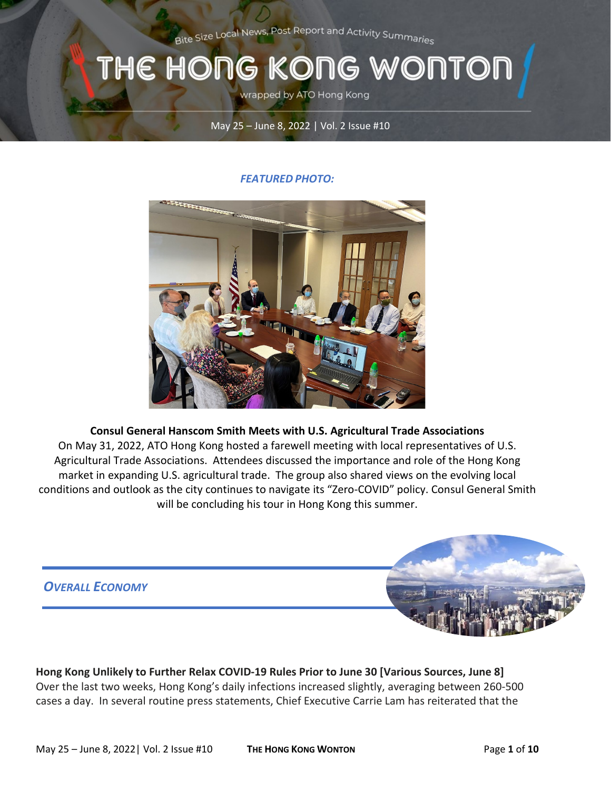Bite Size Local News, Post Report and Activity Summaries

# THE HONG KONG WONTON

wrapped by ATO Hong Kong

May 25 – June 8, 2022 | Vol. 2 Issue #10

#### *FEATURED PHOTO:*



#### **Consul General Hanscom Smith Meets with U.S. Agricultural Trade Associations**

On May 31, 2022, ATO Hong Kong hosted a farewell meeting with local representatives of U.S. Agricultural Trade Associations. Attendees discussed the importance and role of the Hong Kong market in expanding U.S. agricultural trade. The group also shared views on the evolving local conditions and outlook as the city continues to navigate its "Zero-COVID" policy. Consul General Smith will be concluding his tour in Hong Kong this summer.



**Hong Kong Unlikely to Further Relax COVID-19 Rules Prior to June 30 [Various Sources, June 8]** Over the last two weeks, Hong Kong's daily infections increased slightly, averaging between 260-500 cases a day. In several routine press statements, Chief Executive Carrie Lam has reiterated that the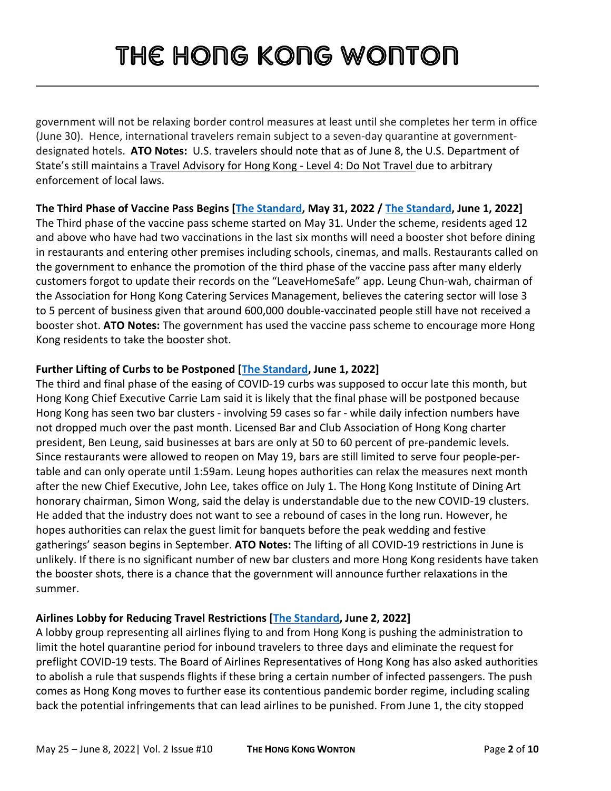government will not be relaxing border control measures at least until she completes her term in office (June 30). Hence, international travelers remain subject to a seven-day quarantine at governmentdesignated hotels. **ATO Notes:** U.S. travelers should note that as of June 8, the U.S. Department of State's still maintains a [Travel Advisory for Hong Kong -](https://travel.state.gov/content/travel/en/international-travel/International-Travel-Country-Information-Pages/HongKong.html) Level 4: Do Not Travel due to arbitrary enforcement of local laws.

### **The Third Phase of Vaccine Pass Begins [\[The Standard,](https://www.thestandard.com.hk/breaking-news/section/4/190698/Restaurants-still-see-many-citizens-%22yum-cha%22-as-third-phase-of-vaccine-pass-kicks-in) May 31, 2022 / [The Standard,](https://www.thestandard.com.hk/section-news/section/11/242269/Yum-cha-hiccups-as-some-elderly-fail-to-update-records) June 1, 2022]**

The Third phase of the vaccine pass scheme started on May 31. Under the scheme, residents aged 12 and above who have had two vaccinations in the last six months will need a booster shot before dining in restaurants and entering other premises including schools, cinemas, and malls. Restaurants called on the government to enhance the promotion of the third phase of the vaccine pass after many elderly customers forgot to update their records on the "LeaveHomeSafe" app. Leung Chun-wah, chairman of the Association for Hong Kong Catering Services Management, believes the catering sector will lose 3 to 5 percent of business given that around 600,000 double-vaccinated people still have not received a booster shot. **ATO Notes:** The government has used the vaccine pass scheme to encourage more Hong Kong residents to take the booster shot.

### **Further Lifting of Curbs to be Postponed [\[The Standard,](https://www.thestandard.com.hk/section-news/section/11/242266/Lifting-of-all-curbs-likely-to-be-stalled-by-bar-clusters) June 1, 2022]**

The third and final phase of the easing of COVID-19 curbs was supposed to occur late this month, but Hong Kong Chief Executive Carrie Lam said it is likely that the final phase will be postponed because Hong Kong has seen two bar clusters - involving 59 cases so far - while daily infection numbers have not dropped much over the past month. Licensed Bar and Club Association of Hong Kong charter president, Ben Leung, said businesses at bars are only at 50 to 60 percent of pre-pandemic levels. Since restaurants were allowed to reopen on May 19, bars are still limited to serve four people-pertable and can only operate until 1:59am. Leung hopes authorities can relax the measures next month after the new Chief Executive, John Lee, takes office on July 1. The Hong Kong Institute of Dining Art honorary chairman, Simon Wong, said the delay is understandable due to the new COVID-19 clusters. He added that the industry does not want to see a rebound of cases in the long run. However, he hopes authorities can relax the guest limit for banquets before the peak wedding and festive gatherings' season begins in September. **ATO Notes:** The lifting of all COVID-19 restrictions in June is unlikely. If there is no significant number of new bar clusters and more Hong Kong residents have taken the booster shots, there is a chance that the government will announce further relaxations in the summer.

### **Airlines Lobby for Reducing Travel Restrictions [\[The Standard,](https://www.thestandard.com.hk/section-news/section/11/242316/Airline-lobby-hoping-three-day-quarantine-period-takes-off) June 2, 2022]**

A lobby group representing all airlines flying to and from Hong Kong is pushing the administration to limit the hotel quarantine period for inbound travelers to three days and eliminate the request for preflight COVID-19 tests. The Board of Airlines Representatives of Hong Kong has also asked authorities to abolish a rule that suspends flights if these bring a certain number of infected passengers. The push comes as Hong Kong moves to further ease its contentious pandemic border regime, including scaling back the potential infringements that can lead airlines to be punished. From June 1, the city stopped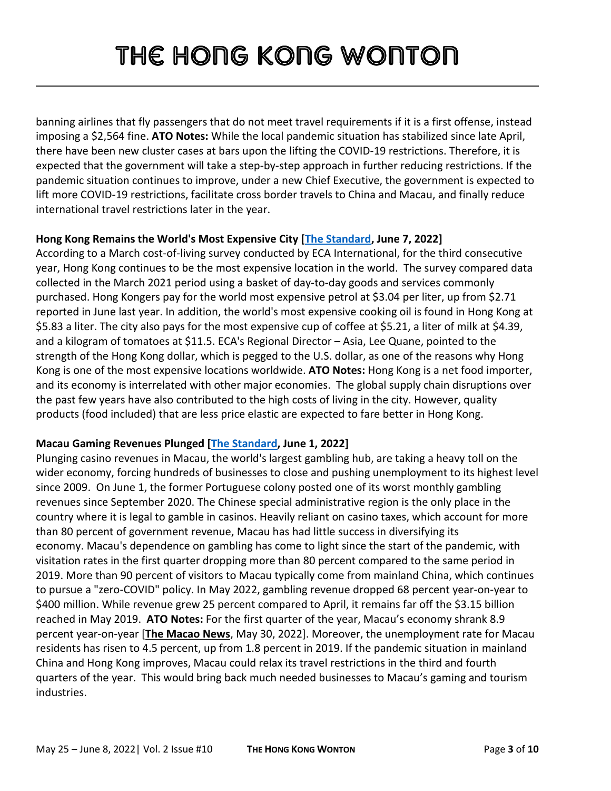banning airlines that fly passengers that do not meet travel requirements if it is a first offense, instead imposing a \$2,564 fine. **ATO Notes:** While the local pandemic situation has stabilized since late April, there have been new cluster cases at bars upon the lifting the COVID-19 restrictions. Therefore, it is expected that the government will take a step-by-step approach in further reducing restrictions. If the pandemic situation continues to improve, under a new Chief Executive, the government is expected to lift more COVID-19 restrictions, facilitate cross border travels to China and Macau, and finally reduce international travel restrictions later in the year.

### **Hong Kong Remains the World's Most Expensive City [\[The Standard,](https://www.thestandard.com.hk/breaking-news/section/4/190936/Hong-Kong-is-the-world) June 7, 2022]**

According to a March cost-of-living survey conducted by ECA International, for the third consecutive year, Hong Kong continues to be the most expensive location in the world. The survey compared data collected in the March 2021 period using a basket of day-to-day goods and services commonly purchased. Hong Kongers pay for the world most expensive petrol at \$3.04 per liter, up from \$2.71 reported in June last year. In addition, the world's most expensive cooking oil is found in Hong Kong at \$5.83 a liter. The city also pays for the most expensive cup of coffee at \$5.21, a liter of milk at \$4.39, and a kilogram of tomatoes at \$11.5. ECA's Regional Director – Asia, Lee Quane, pointed to the strength of the Hong Kong dollar, which is pegged to the U.S. dollar, as one of the reasons why Hong Kong is one of the most expensive locations worldwide. **ATO Notes:** Hong Kong is a net food importer, and its economy is interrelated with other major economies. The global supply chain disruptions over the past few years have also contributed to the high costs of living in the city. However, quality products (food included) that are less price elastic are expected to fare better in Hong Kong.

### **Macau Gaming Revenues Plunged [\[The Standard,](https://www.thestandard.com.hk/breaking-news/section/3/190757/Macau) June 1, 2022]**

Plunging casino revenues in Macau, the world's largest gambling hub, are taking a heavy toll on the wider economy, forcing hundreds of businesses to close and pushing unemployment to its highest level since 2009. On June 1, the former Portuguese colony posted one of its worst monthly gambling revenues since September 2020. The Chinese special administrative region is the only place in the country where it is legal to gamble in casinos. Heavily reliant on casino taxes, which account for more than 80 percent of government revenue, Macau has had little success in diversifying its economy. Macau's dependence on gambling has come to light since the start of the pandemic, with visitation rates in the first quarter dropping more than 80 percent compared to the same period in 2019. More than 90 percent of visitors to Macau typically come from mainland China, which continues to pursue a "zero-COVID" policy. In May 2022, gambling revenue dropped 68 percent year-on-year to \$400 million. While revenue grew 25 percent compared to April, it remains far off the \$3.15 billion reached in May 2019. **ATO Notes:** For the first quarter of the year, Macau's economy shrank 8.9 percent year-on-year [**[The Macao News](https://macaonews.org/economy/macao-gdp-suffers-serious-drop-contracting-by-8-9/)**, May 30, 2022]. Moreover, the unemployment rate for Macau residents has risen to 4.5 percent, up from 1.8 percent in 2019. If the pandemic situation in mainland China and Hong Kong improves, Macau could relax its travel restrictions in the third and fourth quarters of the year. This would bring back much needed businesses to Macau's gaming and tourism industries.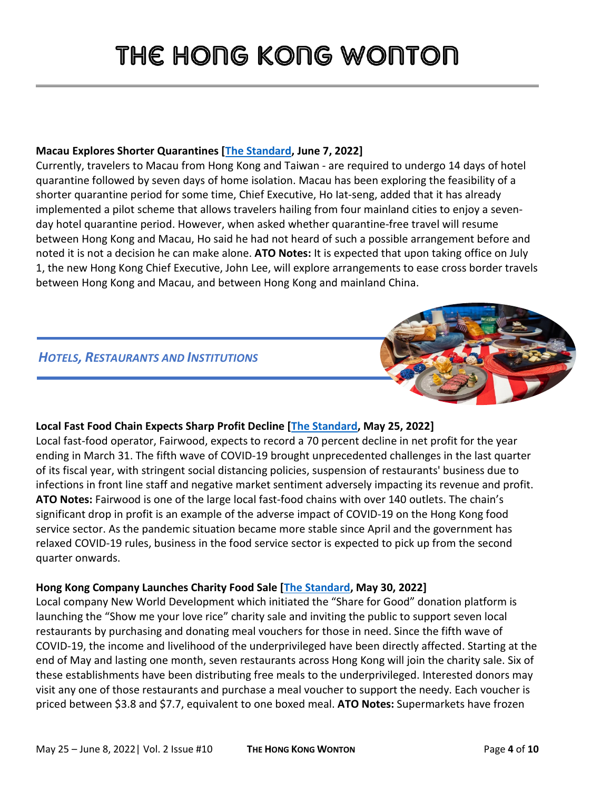#### **Macau Explores Shorter Quarantines [\[The Standard,](https://www.thestandard.com.hk/section-news/section/4/242389/Macau-banks-on-shorter-quarantines-as-summer-nears) June 7, 2022]**

Currently, travelers to Macau from Hong Kong and Taiwan - are required to undergo 14 days of hotel quarantine followed by seven days of home isolation. Macau has been exploring the feasibility of a shorter quarantine period for some time, Chief Executive, Ho Iat-seng, added that it has already implemented a pilot scheme that allows travelers hailing from four mainland cities to enjoy a sevenday hotel quarantine period. However, when asked whether quarantine-free travel will resume between Hong Kong and Macau, Ho said he had not heard of such a possible arrangement before and noted it is not a decision he can make alone. **ATO Notes:** It is expected that upon taking office on July 1, the new Hong Kong Chief Executive, John Lee, will explore arrangements to ease cross border travels between Hong Kong and Macau, and between Hong Kong and mainland China.

### *HOTELS, RESTAURANTS AND INSTITUTIONS*



### **Local Fast Food Chain Expects Sharp Profit Decline [\[The Standard,](https://www.thestandard.com.hk/section-news/section/2/241995/Dining-firm-warns-of-plunge-in-earnings) May 25, 2022]**

Local fast-food operator, Fairwood, expects to record a 70 percent decline in net profit for the year ending in March 31. The fifth wave of COVID-19 brought unprecedented challenges in the last quarter of its fiscal year, with stringent social distancing policies, suspension of restaurants' business due to infections in front line staff and negative market sentiment adversely impacting its revenue and profit. **ATO Notes:** Fairwood is one of the large local fast-food chains with over 140 outlets. The chain's significant drop in profit is an example of the adverse impact of COVID-19 on the Hong Kong food service sector. As the pandemic situation became more stable since April and the government has relaxed COVID-19 rules, business in the food service sector is expected to pick up from the second quarter onwards.

### **Hong Kong Company Launches Charity Food Sale [\[The Standard,](https://www.thestandard.com.hk/breaking-news/section/4/190687/New-World-launches-%22Show-me-your-love-rice%E2%80%9D-charity-sale) May 30, 2022]**

Local company New World Development which initiated the "Share for Good" donation platform is launching the "Show me your love rice" charity sale and inviting the public to support seven local restaurants by purchasing and donating meal vouchers for those in need. Since the fifth wave of COVID-19, the income and livelihood of the underprivileged have been directly affected. Starting at the end of May and lasting one month, seven restaurants across Hong Kong will join the charity sale. Six of these establishments have been distributing free meals to the underprivileged. Interested donors may visit any one of those restaurants and purchase a meal voucher to support the needy. Each voucher is priced between \$3.8 and \$7.7, equivalent to one boxed meal. **ATO Notes:** Supermarkets have frozen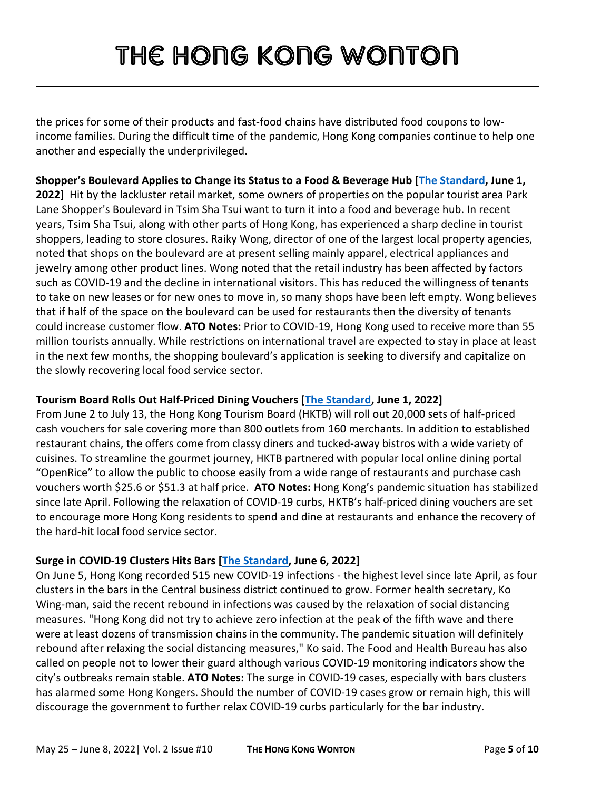the prices for some of their products and fast-food chains have distributed food coupons to lowincome families. During the difficult time of the pandemic, Hong Kong companies continue to help one another and especially the underprivileged.

**Shopper's Boulevard Applies to Change its Status to a Food & Beverage Hub [\[The Standard,](https://www.thestandard.com.hk/section-news/section/11/242264/Landlords-seek-to-turn-struggling-Park-Lane-shopping-strip-into-F&B-hub) June 1, 2022]** Hit by the lackluster retail market, some owners of properties on the popular tourist area Park Lane Shopper's Boulevard in Tsim Sha Tsui want to turn it into a food and beverage hub. In recent years, Tsim Sha Tsui, along with other parts of Hong Kong, has experienced a sharp decline in tourist shoppers, leading to store closures. Raiky Wong, director of one of the largest local property agencies, noted that shops on the boulevard are at present selling mainly apparel, electrical appliances and jewelry among other product lines. Wong noted that the retail industry has been affected by factors such as COVID-19 and the decline in international visitors. This has reduced the willingness of tenants to take on new leases or for new ones to move in, so many shops have been left empty. Wong believes that if half of the space on the boulevard can be used for restaurants then the diversity of tenants could increase customer flow. **ATO Notes:** Prior to COVID-19, Hong Kong used to receive more than 55 million tourists annually. While restrictions on international travel are expected to stay in place at least in the next few months, the shopping boulevard's application is seeking to diversify and capitalize on the slowly recovering local food service sector.

### **Tourism Board Rolls Out Half-Priced Dining Vouchers [\[The Standard,](https://www.thestandard.com.hk/breaking-news/section/4/190760/(Central-Station)-Tourism-Board-rolls-out-20,000-sets-of-half-priced-dining-vouchers) June 1, 2022]**

From June 2 to July 13, the Hong Kong Tourism Board (HKTB) will roll out 20,000 sets of half-priced cash vouchers for sale covering more than 800 outlets from 160 merchants. In addition to established restaurant chains, the offers come from classy diners and tucked-away bistros with a wide variety of cuisines. To streamline the gourmet journey, HKTB partnered with popular local online dining portal "OpenRice" to allow the public to choose easily from a wide range of restaurants and purchase cash vouchers worth \$25.6 or \$51.3 at half price. **ATO Notes:** Hong Kong's pandemic situation has stabilized since late April. Following the relaxation of COVID-19 curbs, HKTB's half-priced dining vouchers are set to encourage more Hong Kong residents to spend and dine at restaurants and enhance the recovery of the hard-hit local food service sector.

### **Surge in COVID-19 Clusters Hits Bars [\[The Standard,](https://www.thestandard.com.hk/section-news/section/4/242345/surge-in-cases-as-clusters-hit-bars) June 6, 2022]**

On June 5, Hong Kong recorded 515 new COVID-19 infections - the highest level since late April, as four clusters in the bars in the Central business district continued to grow. Former health secretary, Ko Wing-man, said the recent rebound in infections was caused by the relaxation of social distancing measures. "Hong Kong did not try to achieve zero infection at the peak of the fifth wave and there were at least dozens of transmission chains in the community. The pandemic situation will definitely rebound after relaxing the social distancing measures," Ko said. The Food and Health Bureau has also called on people not to lower their guard although various COVID-19 monitoring indicators show the city's outbreaks remain stable. **ATO Notes:** The surge in COVID-19 cases, especially with bars clusters has alarmed some Hong Kongers. Should the number of COVID-19 cases grow or remain high, this will discourage the government to further relax COVID-19 curbs particularly for the bar industry.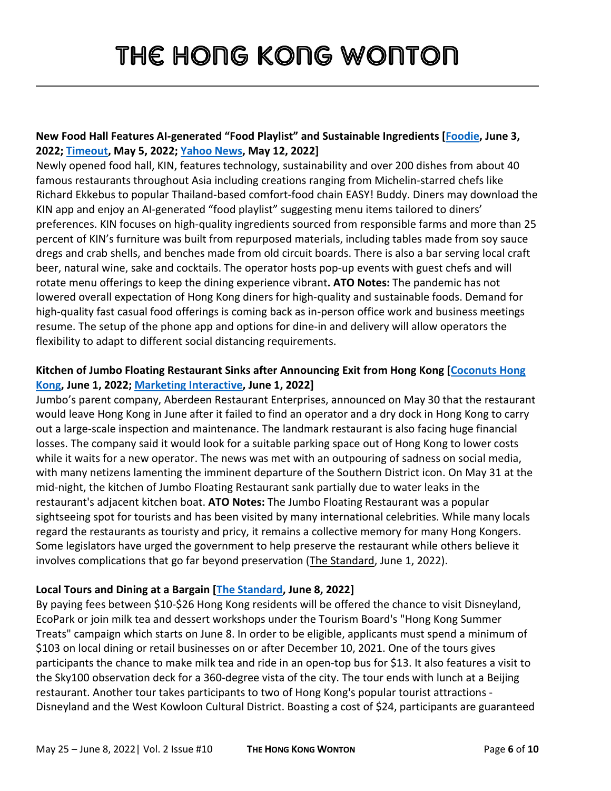### **New Food Hall Features AI-generated "Food Playlist" and Sustainable Ingredients [\[Foodie,](https://www.afoodieworld.com/jenni-lien/first-look-kin-food-halls) June 3, 2022; [Timeout,](https://www.timeout.com/hong-kong/restaurants/kin-food-halls) May 5, 2022; [Yahoo News,](https://hk.news.yahoo.com/%E9%B0%82%E9%AD%9A%E6%B6%8C-%E5%8D%88%E9%A4%90-%E5%A4%AA%E5%8F%A4%E5%9D%8A-kinfoodhalls-%E7%92%B0%E4%BF%9D-%E4%BA%BA%E5%B7%A5%E6%99%BA%E8%83%BD-223027301.html) May 12, 2022]**

Newly opened food hall, KIN, features technology, sustainability and over 200 dishes from about 40 famous restaurants throughout Asia including creations ranging from Michelin-starred chefs like Richard Ekkebus to popular Thailand-based comfort-food chain EASY! Buddy. Diners may download the KIN app and enjoy an AI-generated "food playlist" suggesting menu items tailored to diners' preferences. KIN focuses on high-quality ingredients sourced from responsible farms and more than 25 percent of KIN's furniture was built from repurposed materials, including tables made from soy sauce dregs and crab shells, and benches made from old circuit boards. There is also a bar serving local craft beer, natural wine, sake and cocktails. The operator hosts pop-up events with guest chefs and will rotate menu offerings to keep the dining experience vibrant**. ATO Notes:** The pandemic has not lowered overall expectation of Hong Kong diners for high-quality and sustainable foods. Demand for high-quality fast casual food offerings is coming back as in-person office work and business meetings resume. The setup of the phone app and options for dine-in and delivery will allow operators the flexibility to adapt to different social distancing requirements.

### **Kitchen of Jumbo Floating Restaurant Sinks after Announcing Exit from Hong Kong [\[Coconuts Hong](https://coconuts.co/hongkong/food-drink/kitchen-of-jumbo-floating-restaurant-sinks-after-announcement-about-exit-from-hong-kong/)  [Kong,](https://coconuts.co/hongkong/food-drink/kitchen-of-jumbo-floating-restaurant-sinks-after-announcement-about-exit-from-hong-kong/) June 1, 2022; [Marketing Interactive,](https://www.marketing-interactive.com/sinking-of-jumbo-floating-restaurant-icon) June 1, 2022]**

Jumbo's parent company, Aberdeen Restaurant Enterprises, announced on May 30 that the restaurant would leave Hong Kong in June after it failed to find an operator and a dry dock in Hong Kong to carry out a large-scale inspection and maintenance. The landmark restaurant is also facing huge financial losses. The company said it would look for a suitable parking space out of Hong Kong to lower costs while it waits for a new operator. The news was met with an outpouring of sadness on social media, with many netizens lamenting the imminent departure of the Southern District icon. On May 31 at the mid-night, the kitchen of Jumbo Floating Restaurant sank partially due to water leaks in the restaurant's adjacent kitchen boat. **ATO Notes:** The Jumbo Floating Restaurant was a popular sightseeing spot for tourists and has been visited by many international celebrities. While many locals regard the restaurants as touristy and pricy, it remains a collective memory for many Hong Kongers. Some legislators have urged the government to help preserve the restaurant while others believe it involves complications that go far beyond preservation [\(The Standard,](https://www.thestandard.com.hk/section-news/section/17/242241/Jumbo-problem-looks-too-big-to-solve) June 1, 2022).

### **Local Tours and Dining at a Bargain [\[The Standard,](https://www.thestandard.com.hk/section-news/section/4/242427/Disney,-dining,-desserts-at-a-bargain-as-107-tours-go-live) June 8, 2022]**

By paying fees between \$10-\$26 Hong Kong residents will be offered the chance to visit Disneyland, EcoPark or join milk tea and dessert workshops under the Tourism Board's "Hong Kong Summer Treats" campaign which starts on June 8. In order to be eligible, applicants must spend a minimum of \$103 on local dining or retail businesses on or after December 10, 2021. One of the tours gives participants the chance to make milk tea and ride in an open-top bus for \$13. It also features a visit to the Sky100 observation deck for a 360-degree vista of the city. The tour ends with lunch at a Beijing restaurant. Another tour takes participants to two of Hong Kong's popular tourist attractions - Disneyland and the West Kowloon Cultural District. Boasting a cost of \$24, participants are guaranteed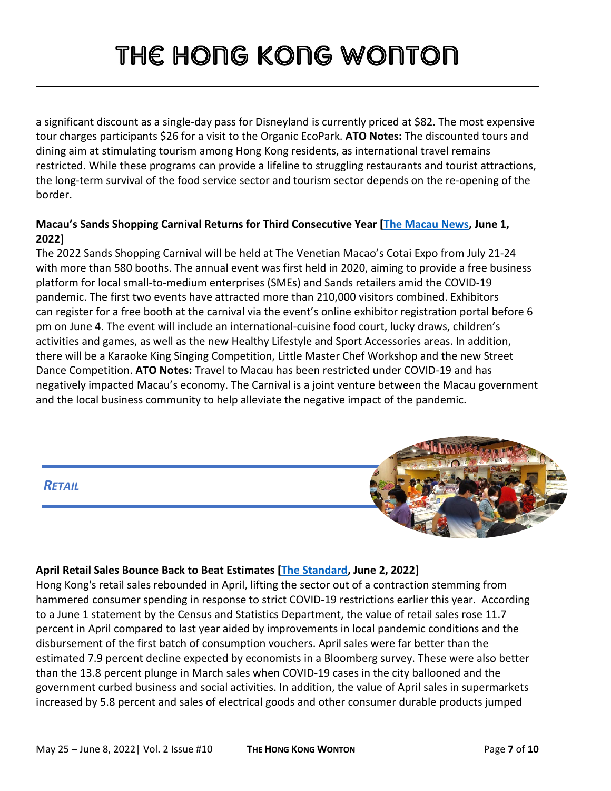a significant discount as a single-day pass for Disneyland is currently priced at \$82. The most expensive tour charges participants \$26 for a visit to the Organic EcoPark. **ATO Notes:** The discounted tours and dining aim at stimulating tourism among Hong Kong residents, as international travel remains restricted. While these programs can provide a lifeline to struggling restaurants and tourist attractions, the long-term survival of the food service sector and tourism sector depends on the re-opening of the border.

#### **Macau's Sands Shopping Carnival Returns for Third Consecutive Year [\[The Macau News,](https://macaonews.org/business/sands-shopping-carnival-returns-for-third-consecutive-year-with-580-booths/) June 1, 2022]**

The 2022 Sands Shopping Carnival will be held at The Venetian Macao's Cotai Expo from July 21-24 with more than 580 booths. The annual event was first held in 2020, aiming to provide a free business platform for local small-to-medium enterprises (SMEs) and Sands retailers amid the COVID-19 pandemic. The first two events have attracted more than 210,000 visitors combined. Exhibitors can [register for a free booth](https://1ticks.com/event/ssc2022-SME-application?lang=en) at the carnival via the event's online exhibitor registration portal before 6 pm on June 4. The event will include an international-cuisine food court, lucky draws, children's activities and games, as well as the new Healthy Lifestyle and Sport Accessories areas. In addition, there will be a Karaoke King Singing Competition, Little Master Chef Workshop and the new Street Dance Competition. **ATO Notes:** Travel to Macau has been restricted under COVID-19 and has negatively impacted Macau's economy. The Carnival is a joint venture between the Macau government and the local business community to help alleviate the negative impact of the pandemic.



### **April Retail Sales Bounce Back to Beat Estimates [\[The Standard,](https://www.thestandard.com.hk/section-news/section/2/242279/April-retail-sales-bounce-back-to-beat-estimates) June 2, 2022]**

*RETAIL*

Hong Kong's retail sales rebounded in April, lifting the sector out of a contraction stemming from hammered consumer spending in response to strict COVID-19 restrictions earlier this year. According to a June 1 statement by the Census and Statistics Department, the value of retail sales rose 11.7 percent in April compared to last year aided by improvements in local pandemic conditions and the disbursement of the first batch of consumption vouchers. April sales were far better than the estimated 7.9 percent decline expected by economists in a Bloomberg survey. These were also better than the 13.8 percent plunge in March sales when COVID-19 cases in the city ballooned and the government curbed business and social activities. In addition, the value of April sales in supermarkets increased by 5.8 percent and sales of electrical goods and other consumer durable products jumped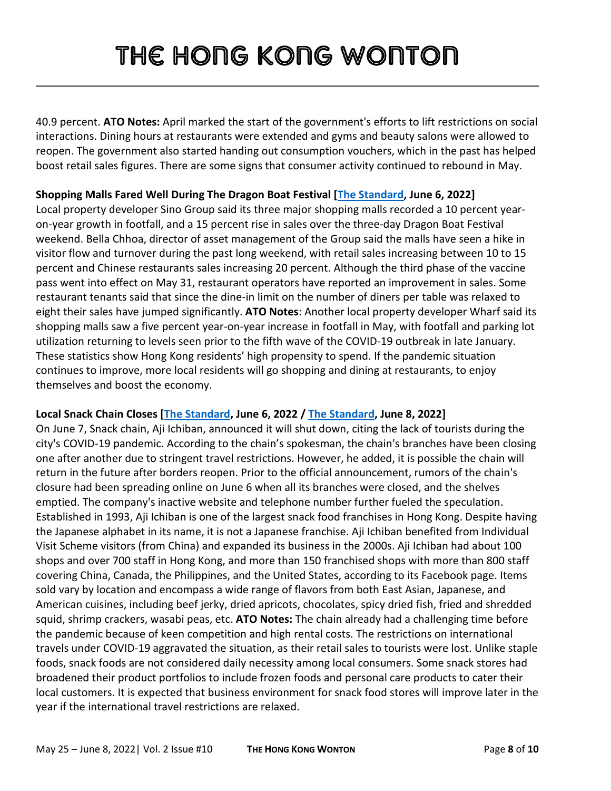40.9 percent. **ATO Notes:** April marked the start of the government's efforts to lift restrictions on social interactions. Dining hours at restaurants were extended and gyms and beauty salons were allowed to reopen. The government also started handing out consumption vouchers, which in the past has helped boost retail sales figures. There are some signs that consumer activity continued to rebound in May.

### **Shopping Malls Fared Well During The Dragon Boat Festival [\[The Standard,](https://www.thestandard.com.hk/section-news/section/2/242326/Sino) June 6, 2022]**

Local property developer Sino Group said its three major shopping malls recorded a 10 percent yearon-year growth in footfall, and a 15 percent rise in sales over the three-day Dragon Boat Festival weekend. Bella Chhoa, director of asset management of the Group said the malls have seen a hike in visitor flow and turnover during the past long weekend, with retail sales increasing between 10 to 15 percent and Chinese restaurants sales increasing 20 percent. Although the third phase of the vaccine pass went into effect on May 31, restaurant operators have reported an improvement in sales. Some restaurant tenants said that since the dine-in limit on the number of diners per table was relaxed to eight their sales have jumped significantly. **ATO Notes**: Another local property developer Wharf said its shopping malls saw a five percent year-on-year increase in footfall in May, with footfall and parking lot utilization returning to levels seen prior to the fifth wave of the COVID-19 outbreak in late January. These statistics show Hong Kong residents' high propensity to spend. If the pandemic situation continues to improve, more local residents will go shopping and dining at restaurants, to enjoy themselves and boost the economy.

### **Local Snack Chain Closes [\[The Standard,](https://www.thestandard.com.hk/breaking-news/section/4/190908/Empty-shelves-and-inactive-website-sparks-rumors-of-Aji-Ichiban-shutdown) June 6, 2022 / [The Standard,](https://www.thestandard.com.hk/section-news/section/4/242428/Snack-chain-feels-border-bite-after-29-year-reign) June 8, 2022]**

On June 7, Snack chain, Aji Ichiban, announced it will shut down, citing the lack of tourists during the city's COVID-19 pandemic. According to the chain's spokesman, the chain's branches have been closing one after another due to stringent travel restrictions. However, he added, it is possible the chain will return in the future after borders reopen. Prior to the official announcement, rumors of the chain's closure had been spreading online on June 6 when all its branches were closed, and the shelves emptied. The company's inactive website and telephone number further fueled the speculation. Established in 1993, Aji Ichiban is one of the largest snack food franchises in Hong Kong. Despite having the Japanese alphabet in its name, it is not a Japanese franchise. Aji Ichiban benefited from Individual Visit Scheme visitors (from China) and expanded its business in the 2000s. Aji Ichiban had about 100 shops and over 700 staff in Hong Kong, and more than 150 franchised shops with more than 800 staff covering China, Canada, the Philippines, and the United States, according to its Facebook page. Items sold vary by location and encompass a wide range of flavors from both East Asian, Japanese, and American cuisines, including beef jerky, dried apricots, chocolates, spicy dried fish, fried and shredded squid, shrimp crackers, wasabi peas, etc. **ATO Notes:** The chain already had a challenging time before the pandemic because of keen competition and high rental costs. The restrictions on international travels under COVID-19 aggravated the situation, as their retail sales to tourists were lost. Unlike staple foods, snack foods are not considered daily necessity among local consumers. Some snack stores had broadened their product portfolios to include frozen foods and personal care products to cater their local customers. It is expected that business environment for snack food stores will improve later in the year if the international travel restrictions are relaxed.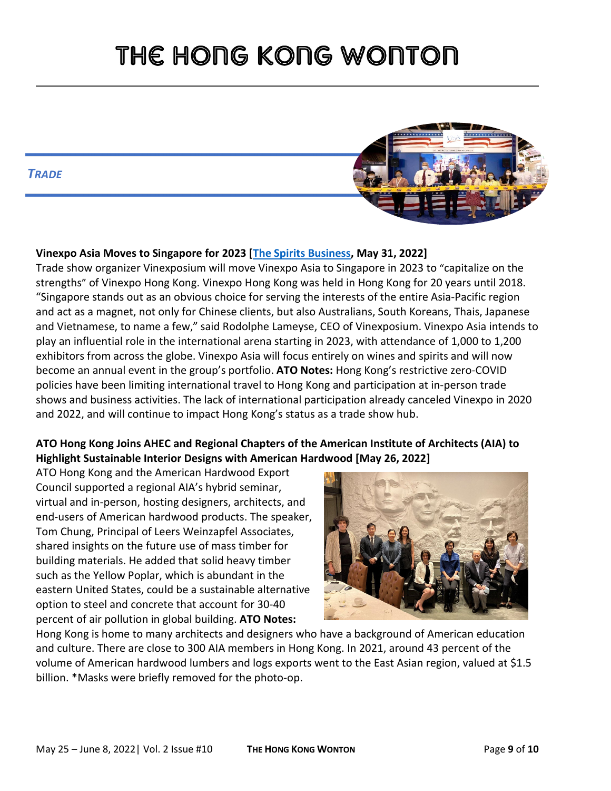### *TRADE*



### **Vinexpo Asia Moves to Singapore for 2023 [\[The Spirits Business,](https://www.thespiritsbusiness.com/2022/05/vinexpo-asia-moves-to-singapore-for-2023/) May 31, 2022]**

Trade show organizer Vinexposium will move Vinexpo Asia to Singapore in 2023 to "capitalize on the strengths" of Vinexpo Hong Kong. Vinexpo Hong Kong was [held in Hong Kong for 20 years until 2018.](https://www.thespiritsbusiness.com/2022/01/vinexposium-cancels-hong-kong-fair/) "Singapore stands out as an obvious choice for serving the interests of the entire Asia-Pacific region and act as a magnet, not only for Chinese clients, but also Australians, South Koreans, Thais, Japanese and Vietnamese, to name a few," said Rodolphe Lameyse, CEO of Vinexposium. Vinexpo Asia intends to play an influential role in the international arena starting in 2023, with attendance of 1,000 to 1,200 exhibitors from across the globe. Vinexpo Asia will focus entirely on wines and spirits and will now become an annual event in the group's portfolio. **ATO Notes:** Hong Kong's restrictive zero-COVID policies have been limiting international travel to Hong Kong and participation at in-person trade shows and business activities. The lack of international participation already canceled Vinexpo in 2020 and 2022, and will continue to impact Hong Kong's status as a trade show hub.

### **ATO Hong Kong Joins AHEC and Regional Chapters of the American Institute of Architects (AIA) to Highlight Sustainable Interior Designs with American Hardwood [May 26, 2022]**

ATO Hong Kong and the American Hardwood Export Council supported a regional AIA's hybrid seminar, virtual and in-person, hosting designers, architects, and end-users of American hardwood products. The speaker, Tom Chung, Principal of Leers Weinzapfel Associates, shared insights on the future use of mass timber for building materials. He added that solid heavy timber such as the Yellow Poplar, which is abundant in the eastern United States, could be a sustainable alternative option to steel and concrete that account for 30-40 percent of air pollution in global building. **ATO Notes:**



Hong Kong is home to many architects and designers who have a background of American education and culture. There are close to 300 AIA members in Hong Kong. In 2021, around 43 percent of the volume of American hardwood lumbers and logs exports went to the East Asian region, valued at \$1.5 billion. \*Masks were briefly removed for the photo-op.